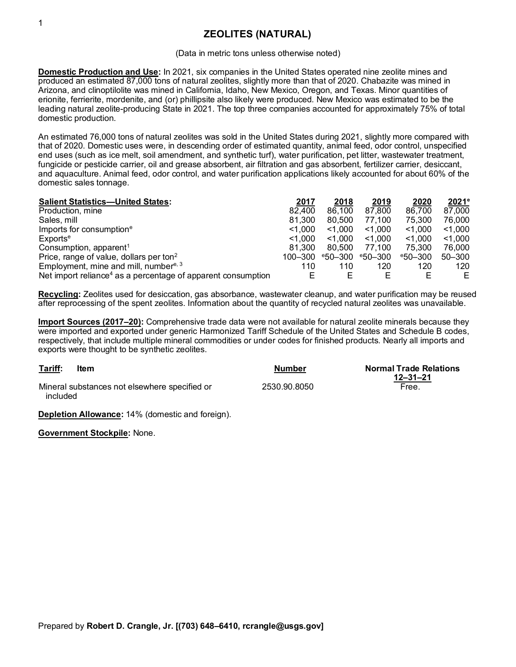## **ZEOLITES (NATURAL)**

## (Data in metric tons unless otherwise noted)

**Domestic Production and Use:** In 2021, six companies in the United States operated nine zeolite mines and produced an estimated 87,000 tons of natural zeolites, slightly more than that of 2020. Chabazite was mined in Arizona, and clinoptilolite was mined in California, Idaho, New Mexico, Oregon, and Texas. Minor quantities of erionite, ferrierite, mordenite, and (or) phillipsite also likely were produced. New Mexico was estimated to be the leading natural zeolite-producing State in 2021. The top three companies accounted for approximately 75% of total domestic production.

An estimated 76,000 tons of natural zeolites was sold in the United States during 2021, slightly more compared with that of 2020. Domestic uses were, in descending order of estimated quantity, animal feed, odor control, unspecified end uses (such as ice melt, soil amendment, and synthetic turf), water purification, pet litter, wastewater treatment, fungicide or pesticide carrier, oil and grease absorbent, air filtration and gas absorbent, fertilizer carrier, desiccant, and aquaculture. Animal feed, odor control, and water purification applications likely accounted for about 60% of the domestic sales tonnage.

| <b>Salient Statistics-United States:</b>                                 | 2017    | 2018               | 2019               | 2020               | 2021 <sup>e</sup> |
|--------------------------------------------------------------------------|---------|--------------------|--------------------|--------------------|-------------------|
| Production, mine                                                         | 82,400  | 86,100             | 87,800             | 86,700             | 87,000            |
| Sales, mill                                                              | 81.300  | 80.500             | 77.100             | 75.300             | 76.000            |
| Imports for consumption <sup>e</sup>                                     | < 1.000 | < 1.000            | < 1.000            | $<$ 1,000          | < 1.000           |
| Exports <sup>e</sup>                                                     | < 1.000 | < 1.000            | < 1.000            | < 1.000            | < 1.000           |
| Consumption, apparent <sup>1</sup>                                       | 81.300  | 80.500             | 77.100             | 75.300             | 76.000            |
| Price, range of value, dollars per ton <sup>2</sup>                      | 100-300 | $^{\circ}50 - 300$ | $^{\circ}50 - 300$ | $^{\circ}50 - 300$ | $50 - 300$        |
| Employment, mine and mill, number <sup>e, 3</sup>                        | 110     | 110                | 120                | 120                | 120               |
| Net import reliance <sup>4</sup> as a percentage of apparent consumption |         | Е                  | E                  |                    | E.                |

**Recycling:** Zeolites used for desiccation, gas absorbance, wastewater cleanup, and water purification may be reused after reprocessing of the spent zeolites. Information about the quantity of recycled natural zeolites was unavailable.

**Import Sources (2017–20):** Comprehensive trade data were not available for natural zeolite minerals because they were imported and exported under generic Harmonized Tariff Schedule of the United States and Schedule B codes, respectively, that include multiple mineral commodities or under codes for finished products. Nearly all imports and exports were thought to be synthetic zeolites.

| Tariff:  | Item                                          | Number       | <b>Normal Trade Relations</b><br>12–31–21 |
|----------|-----------------------------------------------|--------------|-------------------------------------------|
| included | Mineral substances not elsewhere specified or | 2530.90.8050 | Free.                                     |

**Depletion Allowance:** 14% (domestic and foreign).

**Government Stockpile:** None.